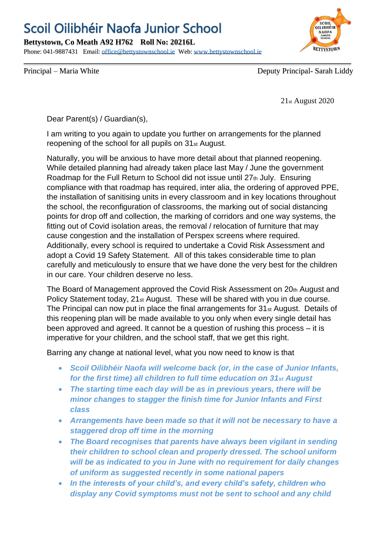## Scoil Oilibhéir Naofa Junior School

**Bettystown, Co Meath A92 H762 Roll No: 20216L**

Phone: 041-9887431 Email: [office@bettystownschool.ie](mailto:office@bettystownschool.ie) Web: [www.bettystownschool.ie](http://www.bettystownschool.ie/)



Principal – Maria White Deputy Principal – Sarah Liddy

21st August 2020

Dear Parent(s) / Guardian(s),

I am writing to you again to update you further on arrangements for the planned reopening of the school for all pupils on 31st August.

Naturally, you will be anxious to have more detail about that planned reopening. While detailed planning had already taken place last May / June the government Roadmap for the Full Return to School did not issue until 27th July. Ensuring compliance with that roadmap has required, inter alia, the ordering of approved PPE, the installation of sanitising units in every classroom and in key locations throughout the school, the reconfiguration of classrooms, the marking out of social distancing points for drop off and collection, the marking of corridors and one way systems, the fitting out of Covid isolation areas, the removal / relocation of furniture that may cause congestion and the installation of Perspex screens where required. Additionally, every school is required to undertake a Covid Risk Assessment and adopt a Covid 19 Safety Statement. All of this takes considerable time to plan carefully and meticulously to ensure that we have done the very best for the children in our care. Your children deserve no less.

The Board of Management approved the Covid Risk Assessment on 20th August and Policy Statement today, 21st August. These will be shared with you in due course. The Principal can now put in place the final arrangements for 31st August. Details of this reopening plan will be made available to you only when every single detail has been approved and agreed. It cannot be a question of rushing this process – it is imperative for your children, and the school staff, that we get this right.

Barring any change at national level, what you now need to know is that

- *Scoil Oilibhéir Naofa will welcome back (or, in the case of Junior Infants, for the first time) all children to full time education on 31st August*
- *The starting time each day will be as in previous years, there will be minor changes to stagger the finish time for Junior Infants and First class*
- *Arrangements have been made so that it will not be necessary to have a staggered drop off time in the morning*
- *The Board recognises that parents have always been vigilant in sending their children to school clean and properly dressed. The school uniform will be as indicated to you in June with no requirement for daily changes of uniform as suggested recently in some national papers*
- *In the interests of your child's, and every child's safety, children who display any Covid symptoms must not be sent to school and any child*